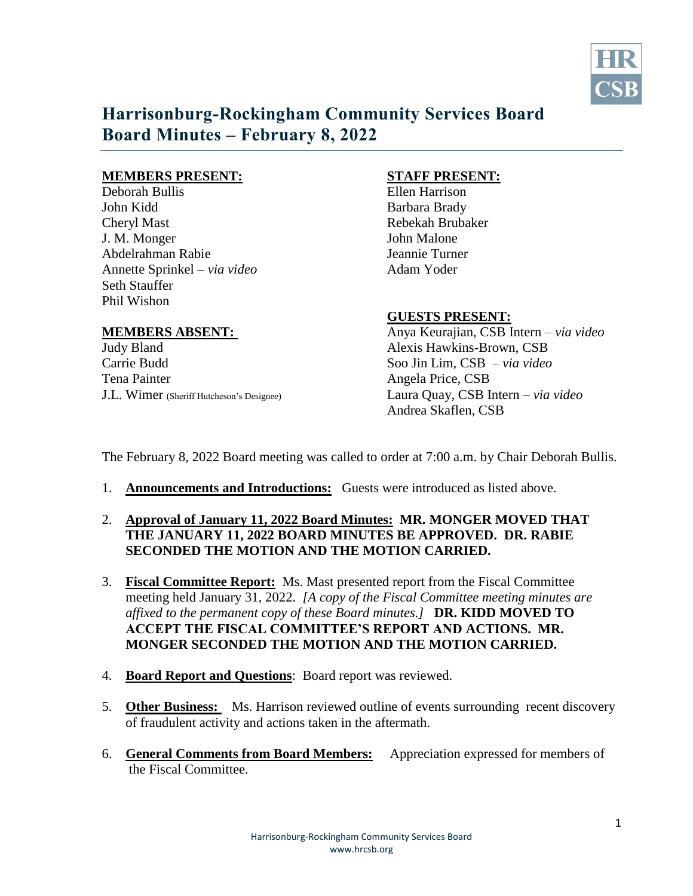

# **Harrisonburg-Rockingham Community Services Board Board Minutes – February 8, 2022**

### **MEMBERS PRESENT: STAFF PRESENT:**

Deborah Bullis Ellen Harrison John Kidd Barbara Brady Cheryl Mast **Rebekah Brubaker** J. M. Monger John Malone Abdelrahman Rabie Jeannie Turner Annette Sprinkel – *via video* Adam Yoder Seth Stauffer Phil Wishon

Judy Bland Alexis Hawkins-Brown, CSB Carrie Budd Soo Jin Lim, CSB – *via video*  Tena Painter Angela Price, CSB

## **GUESTS PRESENT:**

**MEMBERS ABSENT:** Anya Keurajian, CSB Intern – *via video* J.L. Wimer (Sheriff Hutcheson's Designee) Laura Quay, CSB Intern – *via video*  Andrea Skaflen, CSB

The February 8, 2022 Board meeting was called to order at 7:00 a.m. by Chair Deborah Bullis.

- 1. **Announcements and Introductions:** Guests were introduced as listed above.
- 2. **Approval of January 11, 2022 Board Minutes: MR. MONGER MOVED THAT THE JANUARY 11, 2022 BOARD MINUTES BE APPROVED. DR. RABIE SECONDED THE MOTION AND THE MOTION CARRIED.**
- 3. **Fiscal Committee Report:** Ms. Mast presented report from the Fiscal Committee meeting held January 31, 2022. *[A copy of the Fiscal Committee meeting minutes are affixed to the permanent copy of these Board minutes.]* **DR. KIDD MOVED TO ACCEPT THE FISCAL COMMITTEE'S REPORT AND ACTIONS. MR. MONGER SECONDED THE MOTION AND THE MOTION CARRIED.**
- 4. **Board Report and Questions**: Board report was reviewed.
- 5. **Other Business:** Ms. Harrison reviewed outline of events surrounding recent discovery of fraudulent activity and actions taken in the aftermath.
- 6. **General Comments from Board Members:** Appreciation expressed for members of the Fiscal Committee.